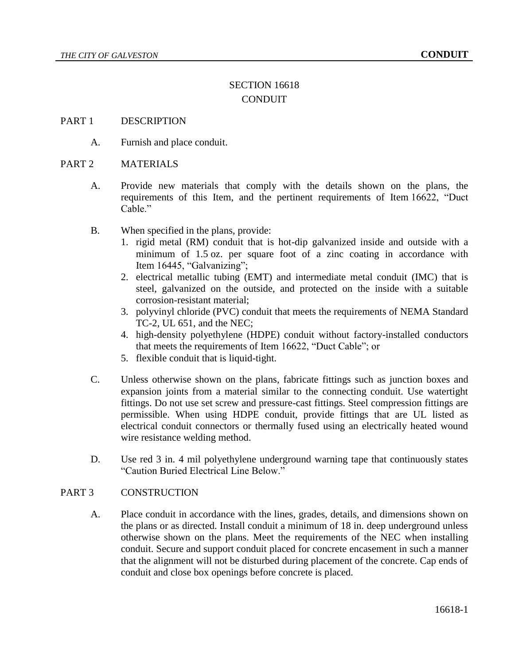# SECTION 16618 **CONDUIT**

#### PART 1 DESCRIPTION

A. Furnish and place conduit.

#### PART 2 MATERIALS

- A. Provide new materials that comply with the details shown on the plans, the requirements of this Item, and the pertinent requirements of Item 16622, "Duct Cable."
- B. When specified in the plans, provide:
	- 1. rigid metal (RM) conduit that is hot-dip galvanized inside and outside with a minimum of 1.5 oz. per square foot of a zinc coating in accordance with Item 16445, "Galvanizing";
	- 2. electrical metallic tubing (EMT) and intermediate metal conduit (IMC) that is steel, galvanized on the outside, and protected on the inside with a suitable corrosion-resistant material;
	- 3. polyvinyl chloride (PVC) conduit that meets the requirements of NEMA Standard TC-2, UL 651, and the NEC;
	- 4. high-density polyethylene (HDPE) conduit without factory-installed conductors that meets the requirements of Item 16622, "Duct Cable"; or
	- 5. flexible conduit that is liquid-tight.
- C. Unless otherwise shown on the plans, fabricate fittings such as junction boxes and expansion joints from a material similar to the connecting conduit. Use watertight fittings. Do not use set screw and pressure-cast fittings. Steel compression fittings are permissible. When using HDPE conduit, provide fittings that are UL listed as electrical conduit connectors or thermally fused using an electrically heated wound wire resistance welding method.
- D. Use red 3 in. 4 mil polyethylene underground warning tape that continuously states "Caution Buried Electrical Line Below."

## PART 3 CONSTRUCTION

A. Place conduit in accordance with the lines, grades, details, and dimensions shown on the plans or as directed. Install conduit a minimum of 18 in. deep underground unless otherwise shown on the plans. Meet the requirements of the NEC when installing conduit. Secure and support conduit placed for concrete encasement in such a manner that the alignment will not be disturbed during placement of the concrete. Cap ends of conduit and close box openings before concrete is placed.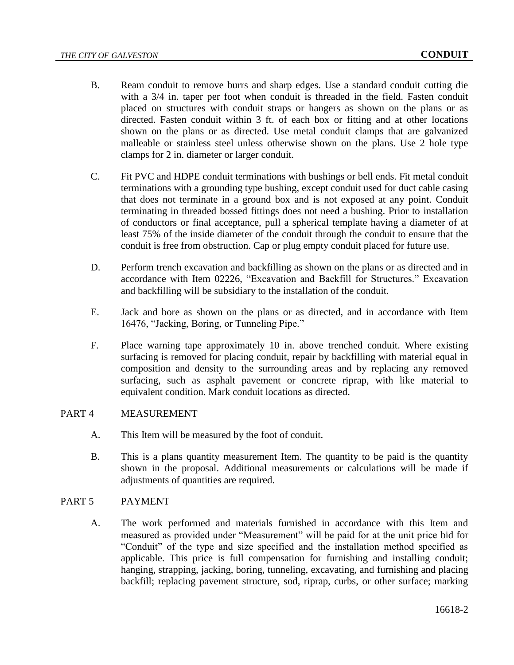- B. Ream conduit to remove burrs and sharp edges. Use a standard conduit cutting die with a 3/4 in. taper per foot when conduit is threaded in the field. Fasten conduit placed on structures with conduit straps or hangers as shown on the plans or as directed. Fasten conduit within 3 ft. of each box or fitting and at other locations shown on the plans or as directed. Use metal conduit clamps that are galvanized malleable or stainless steel unless otherwise shown on the plans. Use 2 hole type clamps for 2 in. diameter or larger conduit.
- C. Fit PVC and HDPE conduit terminations with bushings or bell ends. Fit metal conduit terminations with a grounding type bushing, except conduit used for duct cable casing that does not terminate in a ground box and is not exposed at any point. Conduit terminating in threaded bossed fittings does not need a bushing. Prior to installation of conductors or final acceptance, pull a spherical template having a diameter of at least 75% of the inside diameter of the conduit through the conduit to ensure that the conduit is free from obstruction. Cap or plug empty conduit placed for future use.
- D. Perform trench excavation and backfilling as shown on the plans or as directed and in accordance with Item 02226, "Excavation and Backfill for Structures." Excavation and backfilling will be subsidiary to the installation of the conduit.
- E. Jack and bore as shown on the plans or as directed, and in accordance with Item 16476, "Jacking, Boring, or Tunneling Pipe."
- F. Place warning tape approximately 10 in. above trenched conduit. Where existing surfacing is removed for placing conduit, repair by backfilling with material equal in composition and density to the surrounding areas and by replacing any removed surfacing, such as asphalt pavement or concrete riprap, with like material to equivalent condition. Mark conduit locations as directed.

## PART 4 MEASUREMENT

- A. This Item will be measured by the foot of conduit.
- B. This is a plans quantity measurement Item. The quantity to be paid is the quantity shown in the proposal. Additional measurements or calculations will be made if adjustments of quantities are required.

## PART 5 PAYMENT

A. The work performed and materials furnished in accordance with this Item and measured as provided under "Measurement" will be paid for at the unit price bid for "Conduit" of the type and size specified and the installation method specified as applicable. This price is full compensation for furnishing and installing conduit; hanging, strapping, jacking, boring, tunneling, excavating, and furnishing and placing backfill; replacing pavement structure, sod, riprap, curbs, or other surface; marking